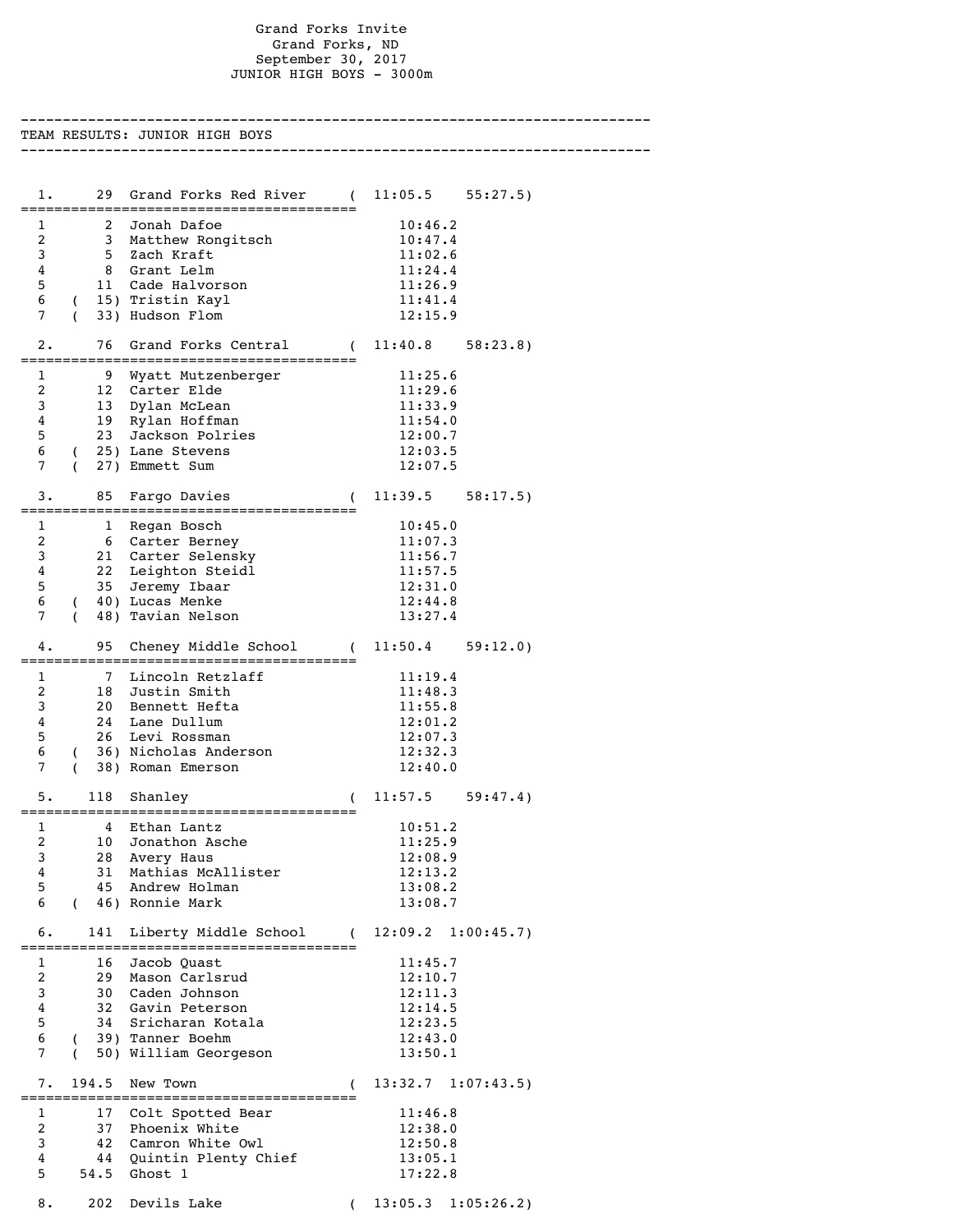## Grand Forks Invite Grand Forks, ND September 30, 2017 JUNIOR HIGH BOYS - 3000m

---------------------------------------------------------------------------

TEAM RESULTS: JUNIOR HIGH BOYS --------------------------------------------------------------------------- 1. 29 Grand Forks Red River ( 11:05.5 55:27.5) ======================================== 1 2 Jonah Dafoe 10:46.2 2 3 Matthew Rongitsch 10:47.4 3 5 Zach Kraft 11:02.6 4 8 Grant Lelm 11:24.4 5 11 Cade Halvorson 11:26.9 6 ( 15) Tristin Kayl 11:41.4 7 ( 33) Hudson Flom 12:15.9 2. 76 Grand Forks Central ( 11:40.8 58:23.8) ======================================== 1 9 Wyatt Mutzenberger 11:25.6 2 12 Carter Elde 11:29.6 3 13 Dylan McLean 11:33.9 4 19 Rylan Hoffman 11:54.0 5 23 Jackson Polries 12:00.7 6 ( 25) Lane Stevens 12:03.5 7 ( 27) Emmett Sum 12:07.5 3. 85 Fargo Davies ( 11:39.5 58:17.5) ======================================== 1 1 Regan Bosch 10:45.0 2 6 Carter Berney 11:07.3 3 21 Carter Selensky 11:56.7 4 22 Leighton Steidl 11:57.5 5 35 Jeremy Ibaar 12:31.0 6 ( 40) Lucas Menke 12:44.8 7 ( 48) Tavian Nelson 13:27.4 4. 95 Cheney Middle School ( 11:50.4 59:12.0) ======================================== 1 7 Lincoln Retzlaff 11:19.4 2 18 Justin Smith 11:48.3 3 20 Bennett Hefta 11:55.8 4 24 Lane Dullum 12:01.2 5 26 Levi Rossman 12:07.3 6 ( 36) Nicholas Anderson 12:32.3 7 (38) Roman Emerson 5. 118 Shanley ( 11:57.5 59:47.4) ======================================== 1 4 Ethan Lantz 10:51.2 2 10 Jonathon Asche 11:25.9 3 28 Avery Haus 12:08.9 4 31 Mathias McAllister 12:13.2 5 45 Andrew Holman 13:08.2 6 ( 46) Ronnie Mark 13:08.7 6. 141 Liberty Middle School ( 12:09.2 1:00:45.7) ======================================== 1 16 Jacob Quast 11:45.7<br>2 29 Mason Carlsrud 12:10.7 2 29 Mason Carlsrud 12:10.7 3 30 Caden Johnson 12:11.3 4 32 Gavin Peterson 12:14.5 5 34 Sricharan Kotala 12:23.5 6 (39) Tanner Boehm 12:43.0<br>7 (50) William Georgeson 13:50.1 (50) William Georgeson 7. 194.5 New Town ( 13:32.7 1:07:43.5) ======================================== 1 17 Colt Spotted Bear 11:46.8<br>2 37 Phoenix White 12:38.0 2 37 Phoenix White 12:38.0 3 42 Camron White Owl 12:50.8 4 44 Quintin Plenty Chief 13:05.1 5 54.5 Ghost 1 17:22.8

 <sup>8. 202</sup> Devils Lake ( 13:05.3 1:05:26.2)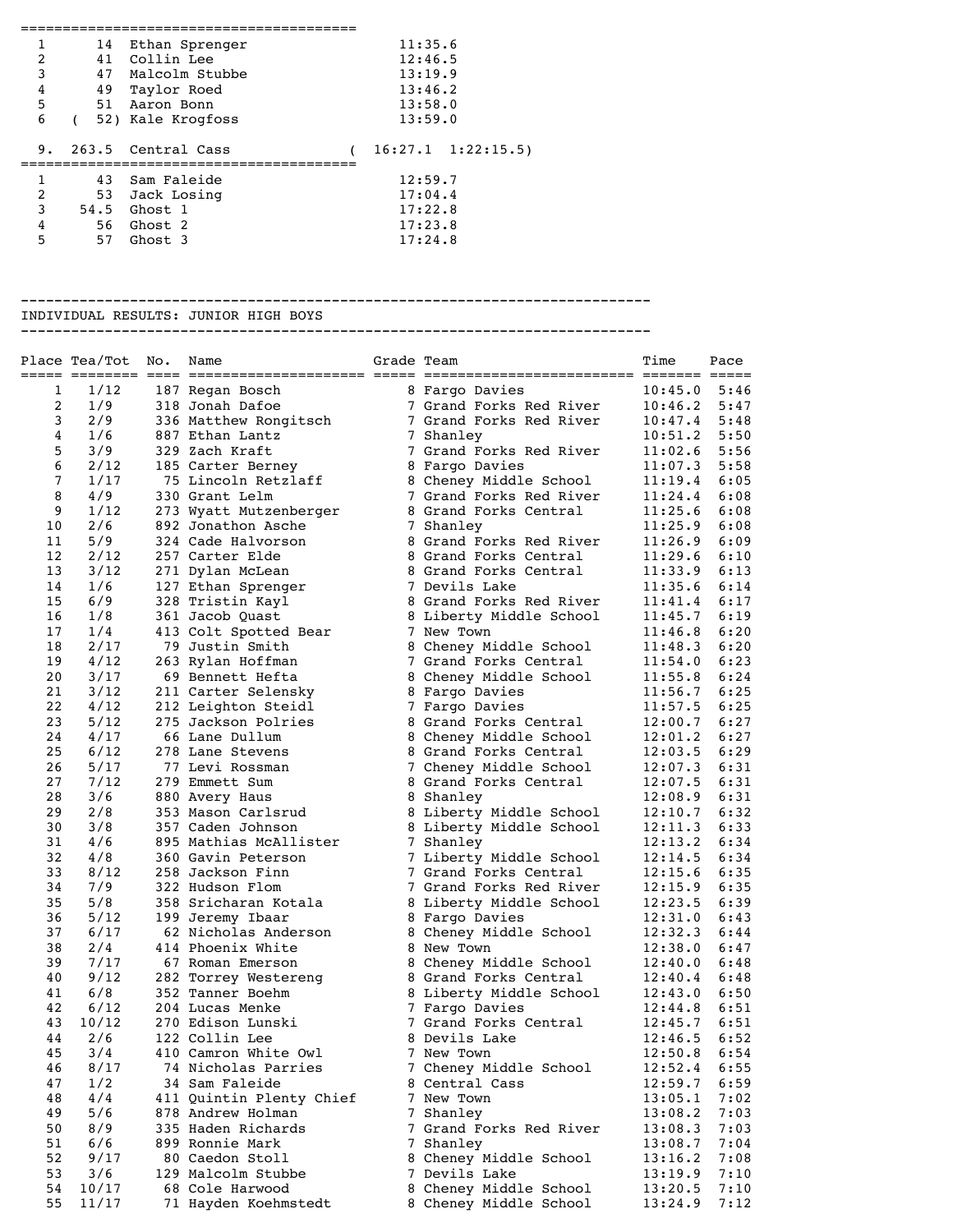| 1  | 14   | Ethan Sprenger     | 11:35.6                   |  |  |  |
|----|------|--------------------|---------------------------|--|--|--|
| 2  | 41   | Collin Lee         | 12:46.5                   |  |  |  |
| 3  | 47   | Malcolm Stubbe     | 13:19.9                   |  |  |  |
| 4  | 49   | Taylor Roed        | 13:46.2                   |  |  |  |
| 5  | 51   | Aaron Bonn         | 13:58.0                   |  |  |  |
| 6  |      | 52) Kale Krogfoss  | 13:59.0                   |  |  |  |
|    |      |                    |                           |  |  |  |
|    |      |                    |                           |  |  |  |
| 9. |      | 263.5 Central Cass | $16:27.1 \quad 1:22:15.5$ |  |  |  |
|    |      |                    |                           |  |  |  |
| 1  | 43   | Sam Faleide        | 12:59.7                   |  |  |  |
| 2  | 53   | Jack Losing        | 17:04.4                   |  |  |  |
| 3  | 54.5 | Ghost 1            | 17:22.8                   |  |  |  |
| 4  | 56   | Ghost 2            | 17:23.8                   |  |  |  |

## --------------------------------------------------------------------------- INDIVIDUAL RESULTS: JUNIOR HIGH BOYS

---------------------------------------------------------------------------

|          | Place Tea/Tot | No. | Name                               | Grade Team |                                                  | Time               | Pace         |
|----------|---------------|-----|------------------------------------|------------|--------------------------------------------------|--------------------|--------------|
| 1        | 1/12          |     | 187 Regan Bosch                    |            | 8 Fargo Davies                                   | 10:45.0            | 5:46         |
| 2        | 1/9           |     | 318 Jonah Dafoe                    |            | 7 Grand Forks Red River                          | 10:46.2            | 5:47         |
| 3        | 2/9           |     | 336 Matthew Rongitsch              |            | 7 Grand Forks Red River                          | 10:47.4            | 5:48         |
| 4        | 1/6           |     | 887 Ethan Lantz                    |            | 7 Shanley                                        | 10:51.2            | 5:50         |
| 5        | 3/9           |     | 329 Zach Kraft                     |            | 7 Grand Forks Red River                          | 11:02.6            | 5:56         |
| 6        | 2/12          |     | 185 Carter Berney                  |            | 8 Fargo Davies                                   | 11:07.3            | 5:58         |
| 7        | 1/17          |     | 75 Lincoln Retzlaff                |            | 8 Cheney Middle School                           | 11:19.4            | 6:05         |
| 8        | 4/9           |     | 330 Grant Lelm                     |            | 7 Grand Forks Red River                          | 11:24.4            | 6:08         |
| 9        | 1/12          |     | 273 Wyatt Mutzenberger             |            | 8 Grand Forks Central                            | 11:25.6            | 6:08         |
| 10       | 2/6           |     | 892 Jonathon Asche                 |            | 7 Shanley                                        | 11:25.9            | 6:08         |
| 11       | 5/9           |     | 324 Cade Halvorson                 |            | 8 Grand Forks Red River                          | 11:26.9            | 6:09         |
| 12       | 2/12          |     | 257 Carter Elde                    |            | 8 Grand Forks Central                            | 11:29.6            | 6:10         |
| 13       | 3/12          |     | 271 Dylan McLean                   |            | 8 Grand Forks Central                            | 11:33.9            | 6:13         |
| 14       | 1/6           |     | 127 Ethan Sprenger                 |            | 7 Devils Lake                                    | 11:35.6            | 6:14         |
| 15       | 6/9           |     | 328 Tristin Kayl                   |            | 8 Grand Forks Red River                          | 11:41.4            | 6:17         |
| 16       | 1/8           |     | 361 Jacob Quast                    |            | 8 Liberty Middle School                          | 11:45.7            | 6:19         |
| 17       | 1/4           |     | 413 Colt Spotted Bear              |            | 7 New Town                                       | 11:46.8            | 6:20         |
| 18       | 2/17          |     | 79 Justin Smith                    |            | 8 Cheney Middle School                           | 11:48.3            | 6:20         |
| 19       | 4/12          |     | 263 Rylan Hoffman                  |            | 7 Grand Forks Central                            | 11:54.0            | 6:23         |
| 20       | 3/17          |     | 69 Bennett Hefta                   |            | 8 Cheney Middle School                           | 11:55.8            | 6:24         |
| 21       | 3/12          |     | 211 Carter Selensky                |            | 8 Fargo Davies                                   | 11:56.7            | 6:25         |
| 22       | 4/12          |     | 212 Leighton Steidl                |            | 7 Fargo Davies                                   | 11:57.5            | 6:25         |
| 23       | 5/12          |     | 275 Jackson Polries                |            | 8 Grand Forks Central                            | 12:00.7            | 6:27         |
| 24       | 4/17          |     | 66 Lane Dullum                     |            | 8 Cheney Middle School                           | 12:01.2            | 6:27         |
| 25       | 6/12          |     | 278 Lane Stevens                   |            | 8 Grand Forks Central                            | 12:03.5            | 6:29         |
| 26       | 5/17          |     | 77 Levi Rossman                    |            | 7 Cheney Middle School                           | 12:07.3            | 6:31         |
| 27       | 7/12          |     | 279 Emmett Sum                     |            | 8 Grand Forks Central                            | 12:07.5            | 6:31         |
| 28       | 3/6           |     | 880 Avery Haus                     |            | 8 Shanley                                        | 12:08.9            | 6:31         |
| 29       | 2/8           |     | 353 Mason Carlsrud                 |            | 8 Liberty Middle School                          | 12:10.7            | 6:32         |
| 30       | 3/8           |     | 357 Caden Johnson                  |            | 8 Liberty Middle School                          | 12:11.3            | 6:33         |
| 31       | 4/6           |     | 895 Mathias McAllister             |            | 7 Shanley                                        | 12:13.2            | 6:34         |
| 32       | 4/8           |     | 360 Gavin Peterson                 |            | 7 Liberty Middle School                          | 12:14.5            | 6:34         |
| 33       | 8/12          |     | 258 Jackson Finn                   |            | 7 Grand Forks Central                            | 12:15.6            | 6:35         |
| 34       | 7/9           |     | 322 Hudson Flom                    |            | 7 Grand Forks Red River                          | 12:15.9            | 6:35         |
| 35       | 5/8           |     | 358 Sricharan Kotala               |            | 8 Liberty Middle School                          | 12:23.5            | 6:39         |
| 36       | 5/12          |     | 199 Jeremy Ibaar                   |            | 8 Fargo Davies                                   | 12:31.0            | 6:43         |
| 37       | 6/17          |     | 62 Nicholas Anderson               |            | 8 Cheney Middle School                           | 12:32.3            | 6:44         |
| 38       | 2/4           |     | 414 Phoenix White                  |            | 8 New Town                                       | 12:38.0            | 6:47         |
| 39       | 7/17          |     | 67 Roman Emerson                   |            | 8 Cheney Middle School                           | 12:40.0            | 6:48         |
| 40       | 9/12          |     | 282 Torrey Westereng               |            | 8 Grand Forks Central                            | 12:40.4            | 6:48         |
| 41       | 6/8           |     | 352 Tanner Boehm                   |            | 8 Liberty Middle School                          | 12:43.0            | 6:50         |
| 42       | 6/12          |     | 204 Lucas Menke                    |            | 7 Fargo Davies                                   | 12:44.8            | 6:51         |
| 43       | 10/12         |     | 270 Edison Lunski                  |            | 7 Grand Forks Central                            | 12:45.7            | 6:51         |
| 44       | 2/6           |     | 122 Collin Lee                     |            | 8 Devils Lake                                    | 12:46.5            | 6:52         |
| 45       | 3/4           |     | 410 Camron White Owl               |            | 7 New Town                                       | 12:50.8            | 6:54         |
| 46       | 8/17          |     | 74 Nicholas Parries                |            | 7 Cheney Middle School                           | 12:52.4            | 6:55         |
| 47       | 1/2           |     | 34 Sam Faleide                     |            | 8 Central Cass                                   | 12:59.7            | 6:59         |
| 48       | 4/4           |     | 411 Ouintin Plenty Chief           |            | 7 New Town                                       | 13:05.1            | 7:02         |
| 49       | 5/6           |     | 878 Andrew Holman                  |            | 7 Shanley<br>7 Grand Forks Red River             | 13:08.2            | 7:03         |
| 50       | 8/9<br>6/6    |     | 335 Haden Richards                 |            |                                                  | 13:08.3            | 7:03         |
| 51<br>52 | 9/17          |     | 899 Ronnie Mark<br>80 Caedon Stoll |            | 7 Shanley                                        | 13:08.7            | 7:04         |
| 53       | 3/6           |     | 129 Malcolm Stubbe                 |            | 8 Cheney Middle School<br>7 Devils Lake          | 13:16.2            | 7:08         |
| 54       | 10/17         |     | 68 Cole Harwood                    |            |                                                  | 13:19.9            | 7:10<br>7:10 |
| 55       | 11/17         |     | 71 Hayden Koehmstedt               |            | 8 Cheney Middle School<br>8 Cheney Middle School | 13:20.5<br>13:24.9 | 7:12         |
|          |               |     |                                    |            |                                                  |                    |              |